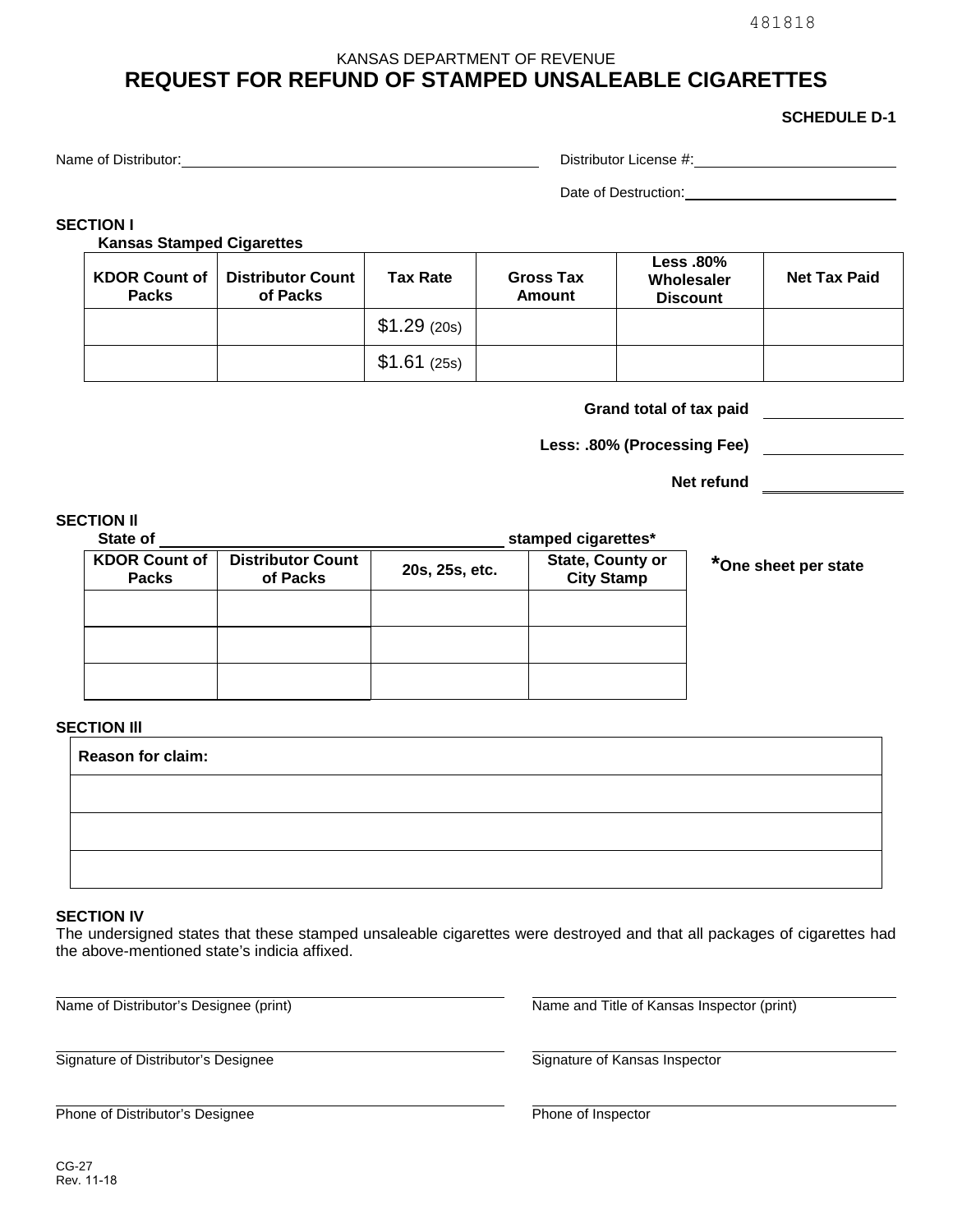481818

### KANSAS DEPARTMENT OF REVENUE

# **REQUEST FOR REFUND OF STAMPED UNSALEABLE CIGARETTES**

### **SCHEDULE D-1**

Name of Distributor: Distributor:

Date of Destruction:

## **SECTION I**

**Kansas Stamped Cigarettes** 

| <b>KDOR Count of</b><br><b>Packs</b> | <b>Distributor Count</b><br>of Packs | <b>Tax Rate</b> | <b>Gross Tax</b><br><b>Amount</b> | <b>Less .80%</b><br>Wholesaler<br><b>Discount</b> | <b>Net Tax Paid</b> |
|--------------------------------------|--------------------------------------|-----------------|-----------------------------------|---------------------------------------------------|---------------------|
|                                      |                                      | \$1.29(20s)     |                                   |                                                   |                     |
|                                      |                                      | $$1.61$ (25s)   |                                   |                                                   |                     |

**Grand total of tax paid** 

**Less: .80% (Processing Fee)** 

**Net refund** 

## **SECTION Il**

| State of                             |                                      | stamped cigarettes* |                                       |  |
|--------------------------------------|--------------------------------------|---------------------|---------------------------------------|--|
| <b>KDOR Count of</b><br><b>Packs</b> | <b>Distributor Count</b><br>of Packs | 20s, 25s, etc.      | State, County or<br><b>City Stamp</b> |  |
|                                      |                                      |                     |                                       |  |
|                                      |                                      |                     |                                       |  |
|                                      |                                      |                     |                                       |  |

**\*One sheet per state**

#### **SECTION III**

| Reason for claim: |  |  |  |  |  |
|-------------------|--|--|--|--|--|
|                   |  |  |  |  |  |
|                   |  |  |  |  |  |
|                   |  |  |  |  |  |

#### **SECTION IV**

 The undersigned states that these stamped unsaleable cigarettes were destroyed and that all packages of cigarettes had the above-mentioned state's indicia affixed.

Signature of Distributor's Designee Signature of Kansas Inspector

Name of Distributor's Designee (print) Name and Title of Kansas Inspector (print)

**Phone of Distributor's Designee Phone of Inspector Phone of Inspector**